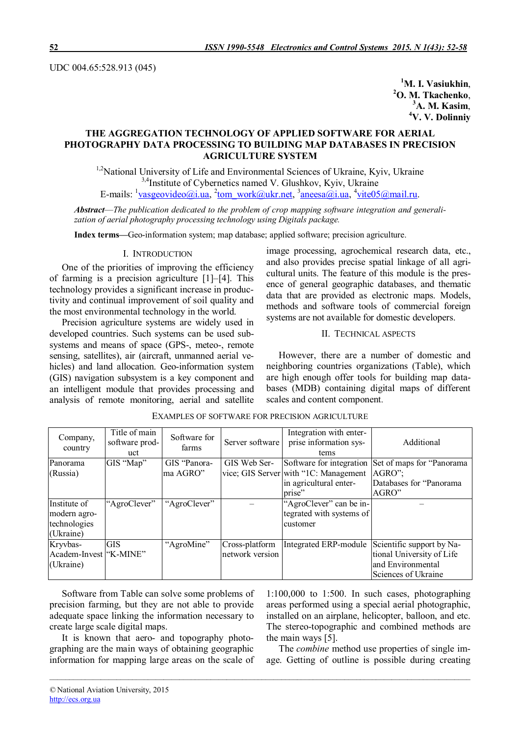UDC 004.65:528.913 (045)

**M. I. Vasiukhin**, **O. M. Tkachenko**, **A. M. Kasim**, **V. V. Dolinniy**

# **THE AGGREGATION TECHNOLOGY OF APPLIED SOFTWARE FOR AERIAL PHOTOGRAPHY DATA PROCESSING TO BUILDING MAP DATABASES IN PRECISION AGRICULTURE SYSTEM**

<sup>1,2</sup>National University of Life and Environmental Sciences of Ukraine, Kyiv, Ukraine <sup>3,4</sup>Institute of Cybernetics named V. Glushkov, Kyiv, Ukraine E-mails: <sup>1</sup>vasgeovideo@i.ua, <sup>2</sup>tom\_work@ukr.net, <sup>3</sup>aneesa@i.ua, <sup>4</sup>vite05@mail.ru.

*Abstract*—*The publication dedicated to the problem of crop mapping software integration and generalization of aerial photography processing technology using Digitals package.*

**Index terms—**Geo-information system; map database; applied software; precision agriculture.

## I. INTRODUCTION

One of the priorities of improving the efficiency of farming is a precision agriculture [1]–[4]. This technology provides a significant increase in productivity and continual improvement of soil quality and the most environmental technology in the world.

Precision agriculture systems are widely used in developed countries. Such systems can be used subsystems and means of space (GPS-, meteo-, remote sensing, satellites), air (aircraft, unmanned aerial vehicles) and land allocation. Geo-information system (GIS) navigation subsystem is a key component and an intelligent module that provides processing and analysis of remote monitoring, aerial and satellite

image processing, agrochemical research data, etc., and also provides precise spatial linkage of all agricultural units. The feature of this module is the presence of general geographic databases, and thematic data that are provided as electronic maps. Models, methods and software tools of commercial foreign systems are not available for domestic developers.

## II. TECHNICAL ASPECTS

However, there are a number of domestic and neighboring countries organizations (Table), which are high enough offer tools for building map databases (MDB) containing digital maps of different scales and content component.

| Company,<br>country    | Title of main<br>software prod-<br>uct | Software for<br>farms | Server software | Integration with enter-<br>prise information sys-<br>tems | Additional                                          |
|------------------------|----------------------------------------|-----------------------|-----------------|-----------------------------------------------------------|-----------------------------------------------------|
| Panorama               | GIS "Map"                              | GIS "Panora-          | GIS Web Ser-    |                                                           | Software for integration Set of maps for "Panorama" |
| (Russia)               |                                        | ma AGRO"              |                 | vice; GIS Server with "1C: Management"                    | $AGRO$ .                                            |
|                        |                                        |                       |                 | in agricultural enter-                                    | Databases for "Panorama"                            |
|                        |                                        |                       |                 | prise"                                                    | AGRO"                                               |
| Institute of           | "AgroClever"                           | "AgroClever"          |                 | "AgroClever" can be in-                                   |                                                     |
| modern agro-           |                                        |                       |                 | tegrated with systems of                                  |                                                     |
| technologies           |                                        |                       |                 | customer                                                  |                                                     |
| (Ukraine)              |                                        |                       |                 |                                                           |                                                     |
| Kryvbas-               | <b>GIS</b>                             | "AgroMine"            | Cross-platform  | Integrated ERP-module                                     | Scientific support by Na-                           |
| Academ-Invest "K-MINE" |                                        |                       | network version |                                                           | tional University of Life                           |
| (Ukraine)              |                                        |                       |                 |                                                           | and Environmental                                   |
|                        |                                        |                       |                 |                                                           | Sciences of Ukraine                                 |

*\_\_\_\_\_\_\_\_\_\_\_\_\_\_\_\_\_\_\_\_\_\_\_\_\_\_\_\_\_\_\_\_\_\_\_\_\_\_\_\_\_\_\_\_\_\_\_\_\_\_\_\_\_\_\_\_\_\_\_\_\_\_\_\_\_\_\_\_\_\_\_\_\_\_\_\_\_\_\_\_\_\_\_\_\_\_\_\_\_\_\_\_\_\_\_\_\_\_\_\_\_\_\_\_\_\_\_*

## EXAMPLES OF SOFTWARE FOR PRECISION AGRICULTURE

Software from Table can solve some problems of precision farming, but they are not able to provide adequate space linking the information necessary to create large scale digital maps.

It is known that aero- and topography photographing are the main ways of obtaining geographic information for mapping large areas on the scale of  $1:100,000$  to  $1:500$ . In such cases, photographing areas performed using a special aerial photographic, installed on an airplane, helicopter, balloon, and etc. The stereo-topographic and combined methods are the main ways [5].

The *combine* method use properties of single image. Getting of outline is possible during creating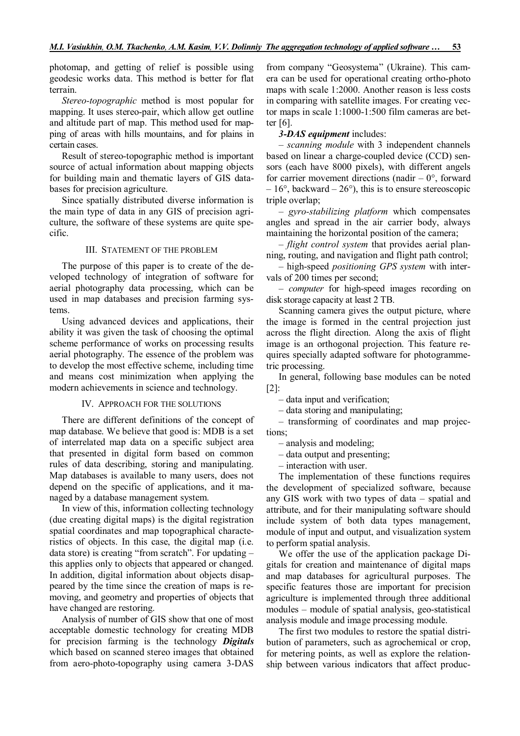photomap, and getting of relief is possible using geodesic works data. This method is better for flat terrain.

*Stereo-topographic* method is most popular for mapping. It uses stereo-pair, which allow get outline and altitude part of map. This method used for mapping of areas with hills mountains, and for plains in certain cases.

Result of stereo-topographic method is important source of actual information about mapping objects for building main and thematic layers of GIS databases for precision agriculture.

Since spatially distributed diverse information is the main type of data in anу GIS of precision agriculture, the software of these systems are quite specific.

#### III. STATEMENT OF THE PROBLEM

The purpose of this paper is to create of the developed technology of integration of software for aerial photography data processing, which can be used in map databases and precision farming systems.

Using advanced devices and applications, their ability it was given the task of choosing the optimal scheme performance of works on processing results aerial photography. The essence of the problem was to develop the most effective scheme, including time and means cost minimization when applying the modern achievements in science and technology.

#### IV. APPROACH FOR THE SOLUTIONS

There are different definitions of the concept of map database. We believe that good is: MDB is a set of interrelated map data on a specific subject area that presented in digital form based on common rules of data describing, storing and manipulating. Map databases is available to many users, does not depend on the specific of applications, and it managed by a database management system.

In view of this, information collecting technology (due creating digital maps) is the digital registration spatial coordinates and map topographical characteristics of objects. In this case, the digital map (i.e. data store) is creating "from scratch". For updating – this applies only to objects that appeared or changed. In addition, digital information about objects disappeared by the time since the creation of maps is removing, and geometry and properties of objects that have changed are restoring.

Analysis of number of GIS show that one of most acceptable domestic technology for creating MDB for precision farming is the technology *Digitals* which based on scanned stereo images that obtained from aero-photo-topography using camera 3-DAS

from company "Geosystema" (Ukraine). This camera can be used for operational creating ortho-photo maps with scale 1:2000. Another reason is less costs in comparing with satellite images. For creating vector maps in scale 1:1000-1:500 film cameras are better [6].

### *3-DAS equipment* includes:

– *scanning module* with 3 independent channels based on linear a charge-coupled device (CCD) sensors (each have 8000 pixels), with different angels for carrier movement directions (nadir  $-0^{\circ}$ , forward  $-16^{\circ}$ , backward  $-26^{\circ}$ ), this is to ensure stereoscopic triple overlap;

– *gyro-stabilizing platform* which compensates angles and spread in the air carrier body, always maintaining the horizontal position of the camera;

– *flight control system* that provides aerial planning, routing, and navigation and flight path control;

– high-speed *positioning GPS system* with intervals of 200 times per second;

– *computer* for high-speed images recording on disk storage capacity at least 2 TB.

Scanning camera gives the output picture, where the image is formed in the central projection just across the flight direction. Along the axis of flight image is an orthogonal projection. This feature requires specially adapted software for photogrammetric processing.

In general, following base modules can be noted [2]:

– data input and verification;

– data storing and manipulating;

– transforming of coordinates and map projections;

– analysis and modeling;

– data output and presenting;

– interaction with user.

The implementation of these functions requires the development of specialized software, because any GIS work with two types of data – spatial and attribute, and for their manipulating software should include system of both data types management, module of input and output, and visualization system to perform spatial analysis.

We offer the use of the application package Digitals for creation and maintenance of digital maps and map databases for agricultural purposes. The specific features those are important for precision agriculture is implemented through three additional modules – module of spatial analysis, geo-statistical analysis module and image processing module.

The first two modules to restore the spatial distribution of parameters, such as agrochemical or crop, for metering points, as well as explore the relationship between various indicators that affect produc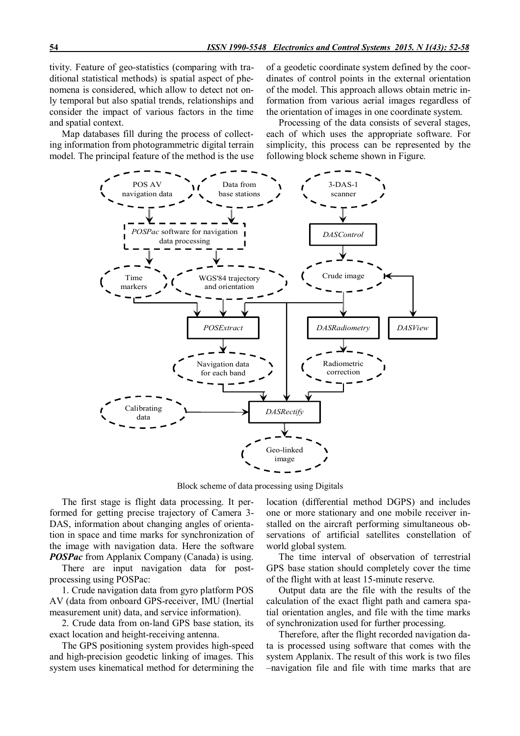tivity. Feature of geo-statistics (comparing with traditional statistical methods) is spatial aspect of phenomena is considered, which allow to detect not only temporal but also spatial trends, relationships and consider the impact of various factors in the time and spatial context.

Map databases fill during the process of collecting information from photogrammetric digital terrain model. The principal feature of the method is the use of a geodetic coordinate system defined by the coordinates of control points in the external orientation of the model. This approach allows obtain metric information from various aerial images regardless of the orientation of images in one coordinate system.

Processing of the data consists of several stages, each of which uses the appropriate software. For simplicity, this process can be represented by the following block scheme shown in Figure.



Block scheme of data processing using Digitals

The first stage is flight data processing. It performed for getting precise trajectory of Camera 3- DAS, information about changing angles of orientation in space and time marks for synchronization of the image with navigation data. Here the software *POSPac* from Applanix Company (Canada) is using.

There are input navigation data for postprocessing using POSPac:

1. Crude navigation data from gyro platform POS AV (data from onboard GPS-receiver, IMU (Inertial measurement unit) data, and service information).

2. Crude data from on-land GPS base station, its exact location and height-receiving antenna.

The GPS positioning system provides high-speed and high-precision geodetic linking of images. This system uses kinematical method for determining the location (differential method DGPS) and includes one or more stationary and one mobile receiver installed on the aircraft performing simultaneous observations of artificial satellites constellation of world global system.

The time interval of observation of terrestrial GPS base station should completely cover the time of the flight with at least 15-minute reserve.

Output data are the file with the results of the calculation of the exact flight path and camera spatial orientation angles, and file with the time marks of synchronization used for further processing.

Therefore, after the flight recorded navigation data is processed using software that comes with the system Applanix. The result of this work is two files –navigation file and file with time marks that are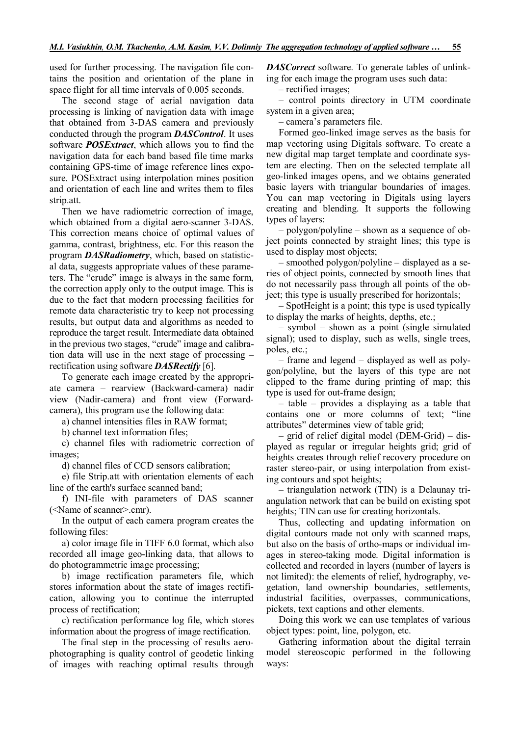used for further processing. The navigation file contains the position and orientation of the plane in space flight for all time intervals of 0.005 seconds.

The second stage of aerial navigation data processing is linking of navigation data with image that obtained from 3-DAS camera and previously conducted through the program *DASControl*. It uses software *POSExtract*, which allows you to find the navigation data for each band based file time marks containing GPS-time of image reference lines exposure. POSExtract using interpolation mines position and orientation of each line and writes them to files strip.att.

Then we have radiometric correction of image, which obtained from a digital aero-scanner 3-DAS. This correction means choice of optimal values of gamma, contrast, brightness, etc. For this reason the program *DASRadiometry*, which, based on statistical data, suggests appropriate values of these parameters. The "crude" image is always in the same form, the correction apply only to the output image. This is due to the fact that modern processing facilities for remote data characteristic try to keep not processing results, but output data and algorithms as needed to reproduce the target result. Intermediate data obtained in the previous two stages, "crude" image and calibration data will use in the next stage of processing – rectification using software *DASRectify* [6].

To generate each image created by the appropriate camera – rearview (Backward-camera) nadir view (Nadir-camera) and front view (Forwardcamera), this program use the following data:

a) channel intensities files in RAW format;

b) channel text information files;

c) channel files with radiometric correction of images;

d) channel files of CCD sensors calibration;

e) file Strip.att with orientation elements of each line of the earth's surface scanned band;

f) INI-file with parameters of DAS scanner (<Name of scanner>.cmr).

In the output of each camera program creates the following files:

a) color image file in TIFF 6.0 format, which also recorded all image geo-linking data, that allows to do photogrammetric image processing;

b) image rectification parameters file, which stores information about the state of images rectification, allowing you to continue the interrupted process of rectification;

c) rectification performance log file, which stores information about the progress of image rectification.

The final step in the processing of results aerophotographing is quality control of geodetic linking of images with reaching optimal results through *DASCorrect* software. To generate tables of unlinking for each image the program uses such data:

– rectified images;

– control points directory in UTM coordinate system in a given area;

– camera's parameters file.

Formed geo-linked image serves as the basis for map vectoring using Digitals software. To create a new digital map target template and coordinate system are electing. Then on the selected template all geo-linked images opens, and we obtains generated basic layers with triangular boundaries of images. You can map vectoring in Digitals using layers creating and blending. It supports the following types of layers:

– polygon/polyline – shown as a sequence of object points connected by straight lines; this type is used to display most objects;

– smoothed polygon/polyline – displayed as a series of object points, connected by smooth lines that do not necessarily pass through all points of the object; this type is usually prescribed for horizontals;

– SpotHeight is a point; this type is used typically to display the marks of heights, depths, etc.;

– symbol – shown as a point (single simulated signal); used to display, such as wells, single trees, poles, etc.;

– frame and legend – displayed as well as polygon/polyline, but the layers of this type are not clipped to the frame during printing of map; this type is used for out-frame design;

– table – provides a displaying as a table that contains one or more columns of text; "line attributes" determines view of table grid;

– grid of relief digital model (DEM-Grid) – displayed as regular or irregular heights grid; grid of heights creates through relief recovery procedure on raster stereo-pair, or using interpolation from existing contours and spot heights;

– triangulation network (TIN) is a Delaunay triangulation network that can be build on existing spot heights; TIN can use for creating horizontals.

Thus, collecting and updating information on digital contours made not only with scanned maps, but also on the basis of ortho-maps or individual images in stereo-taking mode. Digital information is collected and recorded in layers (number of layers is not limited): the elements of relief, hydrography, vegetation, land ownership boundaries, settlements, industrial facilities, overpasses, communications, pickets, text captions and other elements.

Doing this work we can use templates of various object types: point, line, polygon, etc.

Gathering information about the digital terrain model stereoscopic performed in the following ways: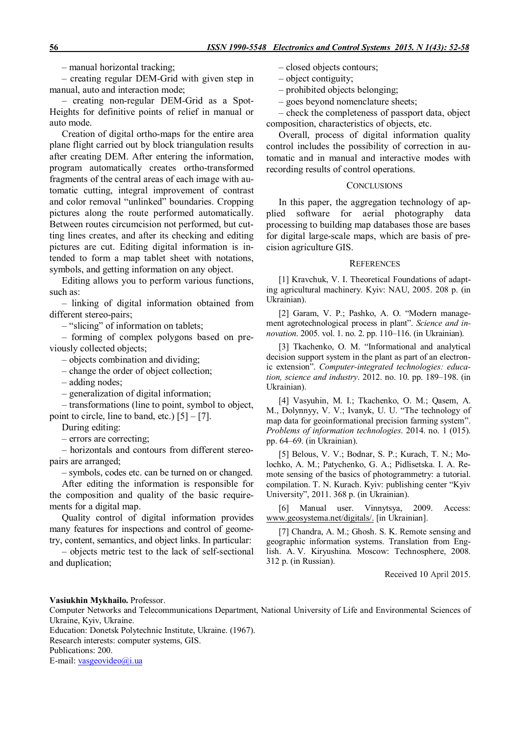– manual horizontal tracking;

– creating regular DEM-Grid with given step in manual, auto and interaction mode;

– creating non-regular DEM-Grid as a Spot-Heights for definitive points of relief in manual or auto mode.

Creation of digital ortho-maps for the entire area plane flight carried out by block triangulation results after creating DEM. After entering the information, program automatically creates ortho-transformed fragments of the central areas of each image with automatic cutting, integral improvement of contrast and color removal "unlinked" boundaries. Cropping pictures along the route performed automatically. Between routes circumcision not performed, but cutting lines creates, and after its checking and editing pictures are cut. Editing digital information is intended to form a map tablet sheet with notations, symbols, and getting information on any object.

Editing allows you to perform various functions, such as:

– linking of digital information obtained from different stereo-pairs;

– "slicing" of information on tablets;

– forming of complex polygons based on previously collected objects;

– objects combination and dividing;

– change the order of object collection;

– adding nodes;

– generalization of digital information;

– transformations (line to point, symbol to object, point to circle, line to band, etc.)  $[5] - [7]$ .

During editing:

– errors are correcting;

– horizontals and contours from different stereopairs are arranged;

– symbols, codes etc. can be turned on or changed. After editing the information is responsible for the composition and quality of the basic requirements for a digital map.

Quality control of digital information provides many features for inspections and control of geometry, content, semantics, and object links. In particular:

– objects metric test to the lack of self-sectional and duplication;

- closed objects contours;
- object contiguity;
- prohibited objects belonging;

– goes beyond nomenclature sheets;

– check the completeness of passport data, object composition, characteristics of objects, etc.

Overall, process of digital information quality control includes the possibility of correction in automatic and in manual and interactive modes with recording results of control operations.

### **CONCLUSIONS**

In this paper, the aggregation technology of applied software for aerial photography data processing to building map databases those are bases for digital large-scale maps, which are basis of precision agriculture GIS.

**REFERENCES** 

[1] Kravchuk, V. I. Theoretical Foundations of adapting agricultural machinery. Kyiv: NAU, 2005. 208 p. (in Ukrainian).

[2] Garam, V. P.; Pashko, A. O. "Modern management agrotechnological process in plant". *Science and innovation*. 2005. vol. 1. no. 2. pp. 110–116. (in Ukrainian).

[3] Tkachenko, O. M. "Informational and analytical decision support system in the plant as part of an electronic extension". *Computer-integrated technologies: education, science and industry*. 2012. no. 10. pp. 189–198. (in Ukrainian).

[4] Vasyuhin, M. I.; Tkachenko, O. M.; Qasem, A. M., Dolynnyy, V. V.; Ivanyk, U. U. "The technology of map data for geoinformational precision farming system". *Problems of information technologies*. 2014. no. 1 (015). pp. 64–69. (in Ukrainian).

[5] Belous, V. V.; Bodnar, S. P.; Kurach, T. N.; Molochko, A. M.; Patychenko, G. A.; Pidlisetska. I. A. Remote sensing of the basics of photogrammetry: a tutorial. compilation. T. N. Kurach. Kyiv: publishing center "Kyiv University", 2011. 368 p. (in Ukrainian).

[6] Manual user. Vinnytsya, 2009. Access: www.geosystema.net/digitals/. [in Ukrainian].

[7] Chandra, A. M.; Ghosh, S. K. Remote sensing and geographic information systems. Translation from English. A. V. Kiryushina. Moscow: Technosphere, 2008. 312 p. (in Russian).

Received 10 April 2015.

#### **Vasiukhin Mykhailo.** Professor.

Computer Networks and Telecommunications Department, National University of Life and Environmental Sciences of Ukraine, Kyiv, Ukraine.

Education: Donetsk Polytechnic Institute, Ukraine. (1967). Research interests: computer systems, GIS. Publications: 200. E-mail: vasgeovideo@i.ua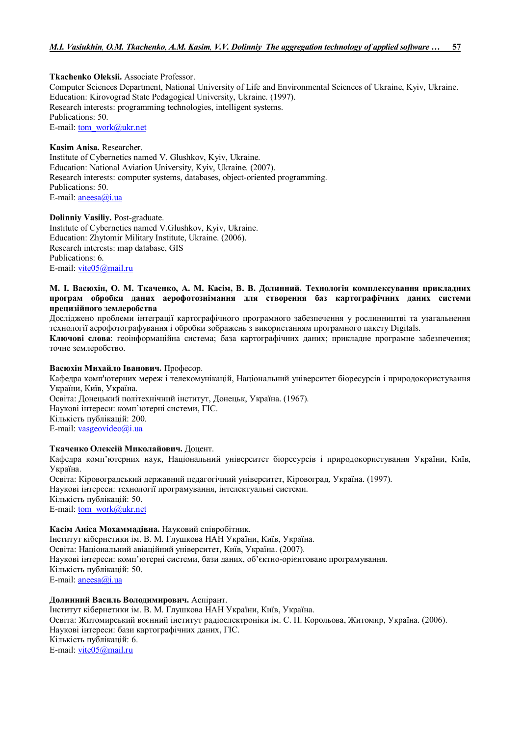**Tkachenko Oleksii.** Associate Professor. Computer Sciences Department, National University of Life and Environmental Sciences of Ukraine, Kyiv, Ukraine. Education: Kirovograd State Pedagogical University, Ukraine. (1997). Research interests: programming technologies, intelligent systems. Publications: 50. E-mail: tom\_work@ukr.net

**Kasim Anisa.** Researcher. Institute of Cybernetics named V. Glushkov, Kyiv, Ukraine. Education: National Aviation University, Kyiv, Ukraine. (2007). Research interests: computer systems, databases, object-oriented programming. Publications: 50. E-mail: aneesa@i.ua

**Dolinniy Vasiliy.** Post-graduate. Institute of Cybernetics named V.Glushkov, Kyiv, Ukraine. Education: Zhytomir Military Institute, Ukraine. (2006). Research interests: map database, GIS Publications: 6. E-mail: vite05@mail.ru

## **М. І. Васюхін, О. М. Ткаченко, А. М. Касім, В. В. Долинний. Технологія комплексування прикладних програм обробки даних аерофотознімання для створення баз картографічних даних системи прецизійного землеробства**

Досліджено проблеми інтеграції картографічного програмного забезпечення у рослинництві та узагальнення технології аерофотографування і обробки зображень з використанням програмного пакету Digitals.

**Ключові слова**: геоінформаційна система; база картографічних даних; прикладне програмне забезпечення; точне землеробство.

## **Васюхін Михайло Іванович.** Професор.

Кафедра комп'ютерних мереж і телекомунікацій, Національний університет біоресурсів і природокористування України, Київ, Україна.

Освіта: Донецький політехнічний інститут, Донецьк, Україна. (1967). Наукові інтереси: комп'ютерні системи, ГІС. Кількість публікацій: 200. E-mail: vasgeovideo@i.ua

### **Ткаченко Олексій Миколайович.** Доцент.

Кафедра комп'ютерних наук, Національний університет біоресурсів і природокористування України, Київ, Україна.

Освіта: Кіровоградський державний педагогічний університет, Кіровоград, Україна. (1997). Наукові інтереси: технології програмування, інтелектуальні системи. Кількість публікацій: 50. E-mail: tom\_work@ukr.net

#### **Касім Аніса Мохаммадівна.** Науковий співробітник.

Інститут кібернетики ім. В. М. Глушкова НАН України, Київ, Україна. Освіта: Національний авіаційний університет, Київ, Україна. (2007). Наукові інтереси: комп'ютерні системи, бази даних, об'єктно-орієнтоване програмування. Кількість публікацій: 50. E-mail: aneesa@i.ua

### **Долинний Василь Володимирович.** Aспірант.

Інститут кібернетики ім. В. М. Глушкова НАН України, Київ, Україна. Освіта: Житомирський воєнний інститут радіоелектроніки ім. С. П. Корольова, Житомир, Україна. (2006). Наукові інтереси: бази картографічних даних, ГІС. Кількість публікацій: 6. E-mail: vite05@mail.ru